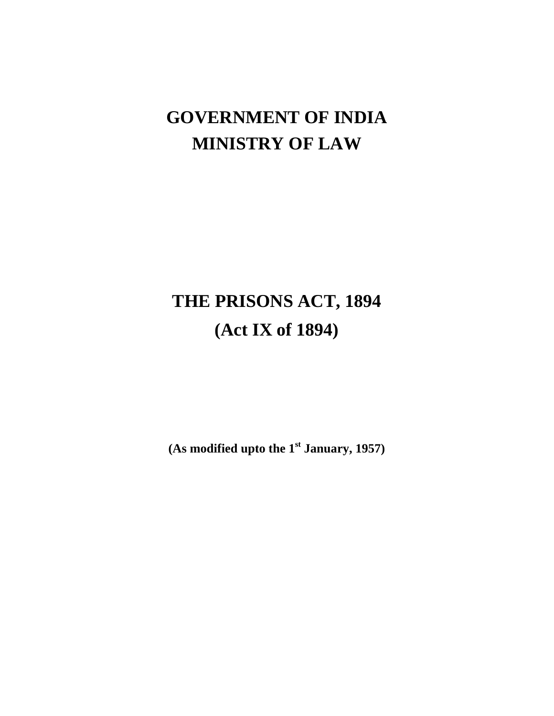# **GOVERNMENT OF INDIA MINISTRY OF LAW**

# **THE PRISONS ACT, 1894 (Act IX of 1894)**

**(As modified upto the 1st January, 1957)**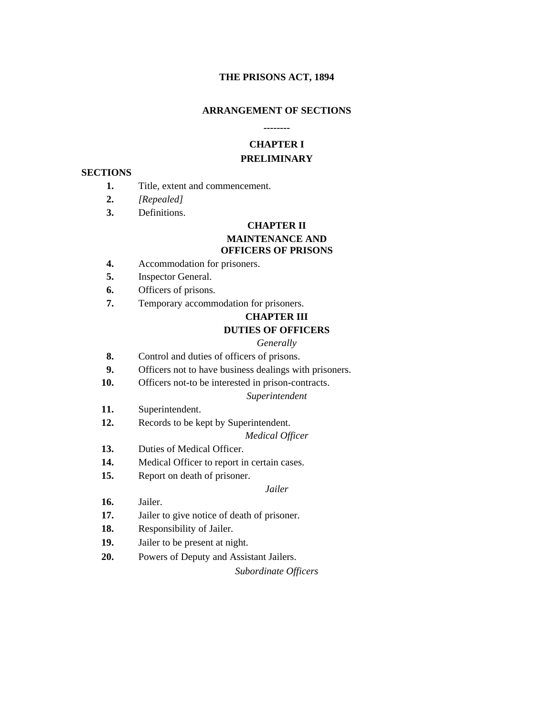#### **THE PRISONS ACT, 1894**

#### **ARRANGEMENT OF SECTIONS**

#### **--------**

# **CHAPTER I PRELIMINARY**

#### **SECTIONS**

- **1.** Title, extent and commencement.
- **2.** *[Repealed]*
- **3.** Definitions.

# **CHAPTER II MAINTENANCE AND OFFICERS OF PRISONS**

- **4.** Accommodation for prisoners.
- **5.** Inspector General.
- **6.** Officers of prisons.
- **7.** Temporary accommodation for prisoners.

# **CHAPTER III DUTIES OF OFFICERS**

#### *Generally*

- **8.** Control and duties of officers of prisons.
- **9.** Officers not to have business dealings with prisoners.
- **10.** Officers not-to be interested in prison-contracts.

#### *Superintendent*

- **11.** Superintendent.
- **12.** Records to be kept by Superintendent.

#### *Medical Officer*

- **13.** Duties of Medical Officer.
- **14.** Medical Officer to report in certain cases.

**15.** Report on death of prisoner.

#### *Jailer*

- **16.** Jailer.
- **17.** Jailer to give notice of death of prisoner.
- **18.** Responsibility of Jailer.
- **19.** Jailer to be present at night.
- **20.** Powers of Deputy and Assistant Jailers.

*Subordinate Officers*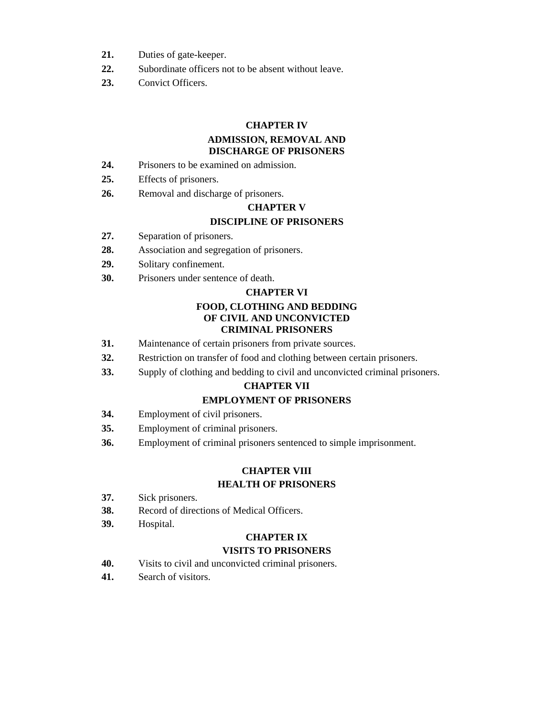- **21.** Duties of gate-keeper.
- **22.** Subordinate officers not to be absent without leave.
- **23.** Convict Officers.

#### **CHAPTER IV**

#### **ADMISSION, REMOVAL AND DISCHARGE OF PRISONERS**

- **24.** Prisoners to be examined on admission.
- **25.** Effects of prisoners.
- **26.** Removal and discharge of prisoners.

#### **CHAPTER V**

# **DISCIPLINE OF PRISONERS**

- **27.** Separation of prisoners.
- **28.** Association and segregation of prisoners.
- **29.** Solitary confinement.
- **30.** Prisoners under sentence of death.

#### **CHAPTER VI**

#### **FOOD, CLOTHING AND BEDDING OF CIVIL AND UNCONVICTED CRIMINAL PRISONERS**

- **31.** Maintenance of certain prisoners from private sources.
- **32.** Restriction on transfer of food and clothing between certain prisoners.
- **33.** Supply of clothing and bedding to civil and unconvicted criminal prisoners.

#### **CHAPTER VII**

#### **EMPLOYMENT OF PRISONERS**

- **34.** Employment of civil prisoners.
- **35.** Employment of criminal prisoners.
- **36.** Employment of criminal prisoners sentenced to simple imprisonment.

#### **CHAPTER VIII HEALTH OF PRISONERS**

- **37.** Sick prisoners.
- **38.** Record of directions of Medical Officers.
- **39.** Hospital.

# **CHAPTER IX**

# **VISITS TO PRISONERS**

- **40.** Visits to civil and unconvicted criminal prisoners.
- **41.** Search of visitors.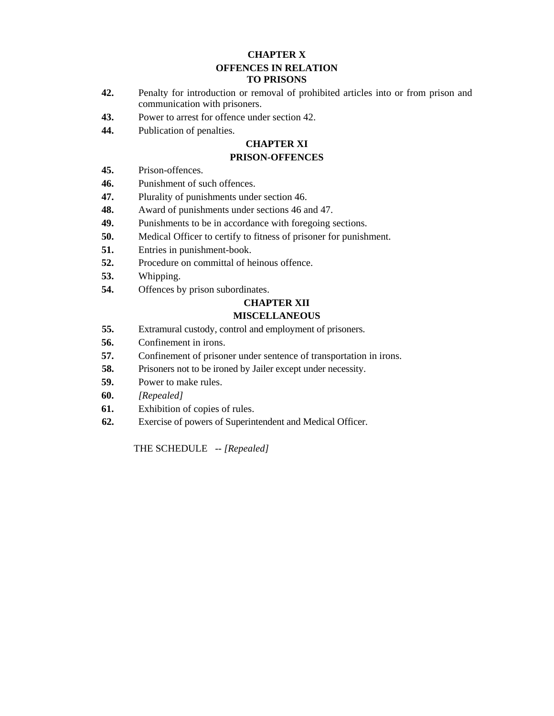# **CHAPTER X OFFENCES IN RELATION TO PRISONS**

- **42.** Penalty for introduction or removal of prohibited articles into or from prison and communication with prisoners.
- **43.** Power to arrest for offence under section 42.
- **44.** Publication of penalties.

# **CHAPTER XI**

#### **PRISON-OFFENCES**

- **45.** Prison-offences.
- **46.** Punishment of such offences.
- **47.** Plurality of punishments under section 46.
- **48.** Award of punishments under sections 46 and 47.
- **49.** Punishments to be in accordance with foregoing sections.
- **50.** Medical Officer to certify to fitness of prisoner for punishment.
- **51.** Entries in punishment-book.
- **52.** Procedure on committal of heinous offence.
- **53.** Whipping.
- **54.** Offences by prison subordinates.

## **CHAPTER XII**

#### **MISCELLANEOUS**

- **55.** Extramural custody, control and employment of prisoners.
- **56.** Confinement in irons.
- **57.** Confinement of prisoner under sentence of transportation in irons.
- **58.** Prisoners not to be ironed by Jailer except under necessity.
- **59.** Power to make rules.
- **60.** *[Repealed]*
- **61.** Exhibition of copies of rules.
- **62.** Exercise of powers of Superintendent and Medical Officer.

THE SCHEDULE -- *[Repealed]*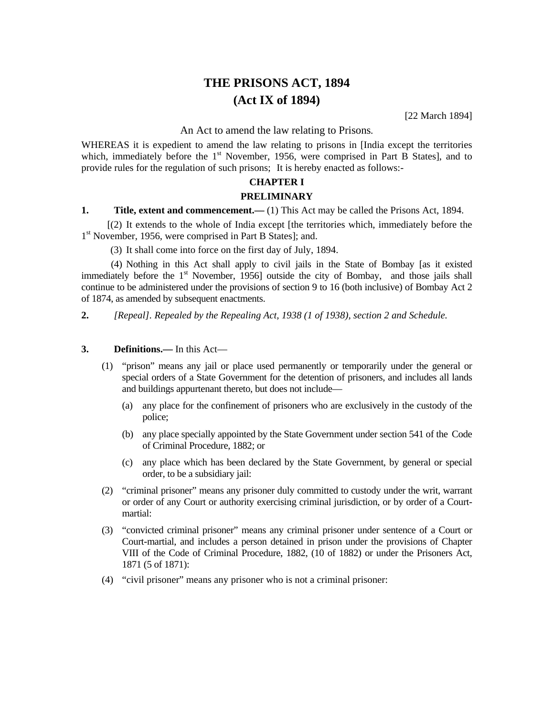# **THE PRISONS ACT, 1894 (Act IX of 1894)**

[22 March 1894]

#### An Act to amend the law relating to Prisons*.*

WHEREAS it is expedient to amend the law relating to prisons in [India except the territories which, immediately before the  $1<sup>st</sup>$  November, 1956, were comprised in Part B States], and to provide rules for the regulation of such prisons; It is hereby enacted as follows:-

# **CHAPTER I**

#### **PRELIMINARY**

#### **1.** Title, extent and commencement.—(1) This Act may be called the Prisons Act, 1894.

[(2) It extends to the whole of India except [the territories which, immediately before the 1<sup>st</sup> November, 1956, were comprised in Part B States]; and.

(3) It shall come into force on the first day of July, 1894.

 (4) Nothing in this Act shall apply to civil jails in the State of Bombay [as it existed immediately before the  $1<sup>st</sup>$  November, 1956] outside the city of Bombay, and those jails shall continue to be administered under the provisions of section 9 to 16 (both inclusive) of Bombay Act 2 of 1874, as amended by subsequent enactments.

**2.** *[Repeal]. Repealed by the Repealing Act, 1938 (1 of 1938), section 2 and Schedule.* 

#### **3. Definitions.—** In this Act—

- (1) "prison" means any jail or place used permanently or temporarily under the general or special orders of a State Government for the detention of prisoners, and includes all lands and buildings appurtenant thereto, but does not include—
	- (a) any place for the confinement of prisoners who are exclusively in the custody of the police;
	- (b) any place specially appointed by the State Government under section 541 of the Code of Criminal Procedure, 1882; or
	- (c) any place which has been declared by the State Government, by general or special order, to be a subsidiary jail:
- (2) "criminal prisoner" means any prisoner duly committed to custody under the writ, warrant or order of any Court or authority exercising criminal jurisdiction, or by order of a Courtmartial:
- (3) "convicted criminal prisoner" means any criminal prisoner under sentence of a Court or Court-martial, and includes a person detained in prison under the provisions of Chapter VIII of the Code of Criminal Procedure, 1882, (10 of 1882) or under the Prisoners Act, 1871 (5 of 1871):
- (4) "civil prisoner" means any prisoner who is not a criminal prisoner: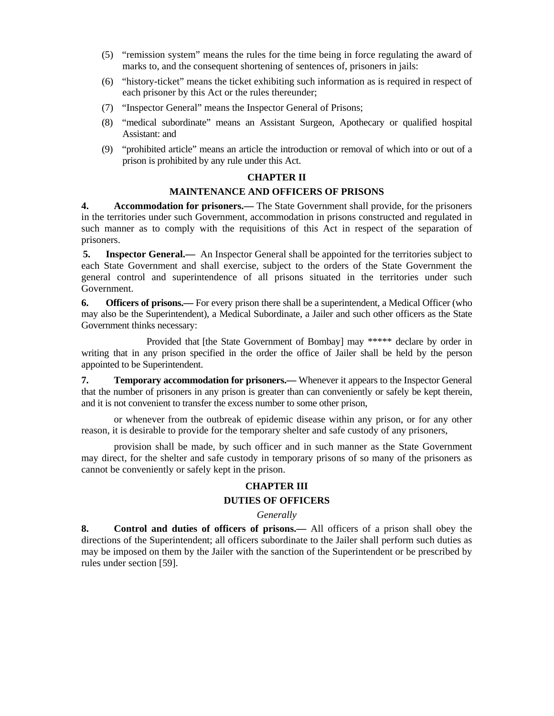- (5) "remission system" means the rules for the time being in force regulating the award of marks to, and the consequent shortening of sentences of, prisoners in jails:
- (6) "history-ticket" means the ticket exhibiting such information as is required in respect of each prisoner by this Act or the rules thereunder;
- (7) "Inspector General" means the Inspector General of Prisons;
- (8) "medical subordinate" means an Assistant Surgeon, Apothecary or qualified hospital Assistant: and
- (9) "prohibited article" means an article the introduction or removal of which into or out of a prison is prohibited by any rule under this Act.

#### **CHAPTER II**

#### **MAINTENANCE AND OFFICERS OF PRISONS**

**4. Accommodation for prisoners.—** The State Government shall provide, for the prisoners in the territories under such Government, accommodation in prisons constructed and regulated in such manner as to comply with the requisitions of this Act in respect of the separation of prisoners.

**5. Inspector General.—** An Inspector General shall be appointed for the territories subject to each State Government and shall exercise, subject to the orders of the State Government the general control and superintendence of all prisons situated in the territories under such Government.

**6. Officers of prisons.—** For every prison there shall be a superintendent, a Medical Officer (who may also be the Superintendent), a Medical Subordinate, a Jailer and such other officers as the State Government thinks necessary:

 Provided that [the State Government of Bombay] may \*\*\*\*\* declare by order in writing that in any prison specified in the order the office of Jailer shall be held by the person appointed to be Superintendent.

**7. Temporary accommodation for prisoners.—** Whenever it appears to the Inspector General that the number of prisoners in any prison is greater than can conveniently or safely be kept therein, and it is not convenient to transfer the excess number to some other prison,

 or whenever from the outbreak of epidemic disease within any prison, or for any other reason, it is desirable to provide for the temporary shelter and safe custody of any prisoners,

 provision shall be made, by such officer and in such manner as the State Government may direct, for the shelter and safe custody in temporary prisons of so many of the prisoners as cannot be conveniently or safely kept in the prison.

#### **CHAPTER III**

#### **DUTIES OF OFFICERS**

#### *Generally*

**8. Control and duties of officers of prisons.—** All officers of a prison shall obey the directions of the Superintendent; all officers subordinate to the Jailer shall perform such duties as may be imposed on them by the Jailer with the sanction of the Superintendent or be prescribed by rules under section [59].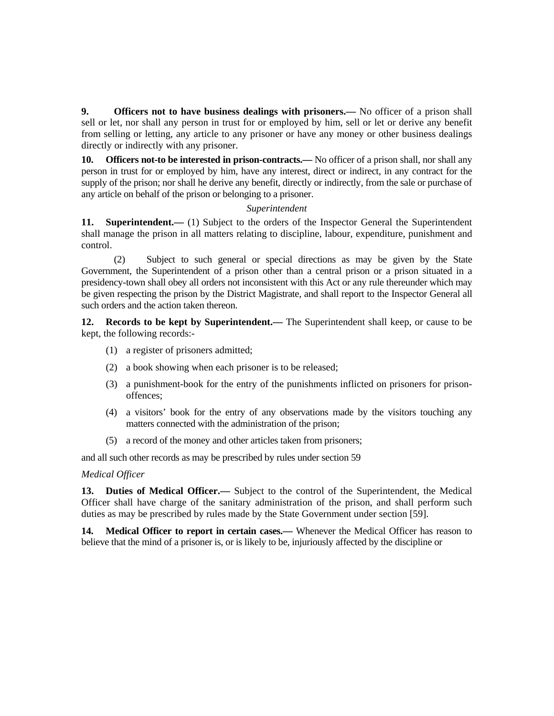**9. Officers not to have business dealings with prisoners.—** No officer of a prison shall sell or let, nor shall any person in trust for or employed by him, sell or let or derive any benefit from selling or letting, any article to any prisoner or have any money or other business dealings directly or indirectly with any prisoner.

**10. Officers not-to be interested in prison-contracts.—** No officer of a prison shall, nor shall any person in trust for or employed by him, have any interest, direct or indirect, in any contract for the supply of the prison; nor shall he derive any benefit, directly or indirectly, from the sale or purchase of any article on behalf of the prison or belonging to a prisoner.

#### *Superintendent*

11. **Superintendent.**—— (1) Subject to the orders of the Inspector General the Superintendent shall manage the prison in all matters relating to discipline, labour, expenditure, punishment and control.

 (2) Subject to such general or special directions as may be given by the State Government, the Superintendent of a prison other than a central prison or a prison situated in a presidency-town shall obey all orders not inconsistent with this Act or any rule thereunder which may be given respecting the prison by the District Magistrate, and shall report to the Inspector General all such orders and the action taken thereon.

**12. Records to be kept by Superintendent.—** The Superintendent shall keep, or cause to be kept, the following records:-

- (1) a register of prisoners admitted;
- (2) a book showing when each prisoner is to be released;
- (3) a punishment-book for the entry of the punishments inflicted on prisoners for prisonoffences;
- (4) a visitors' book for the entry of any observations made by the visitors touching any matters connected with the administration of the prison;
- (5) a record of the money and other articles taken from prisoners;

and all such other records as may be prescribed by rules under section 59

*Medical Officer*

**13. Duties of Medical Officer.—** Subject to the control of the Superintendent, the Medical Officer shall have charge of the sanitary administration of the prison, and shall perform such duties as may be prescribed by rules made by the State Government under section [59].

**14. Medical Officer to report in certain cases.—** Whenever the Medical Officer has reason to believe that the mind of a prisoner is, or is likely to be, injuriously affected by the discipline or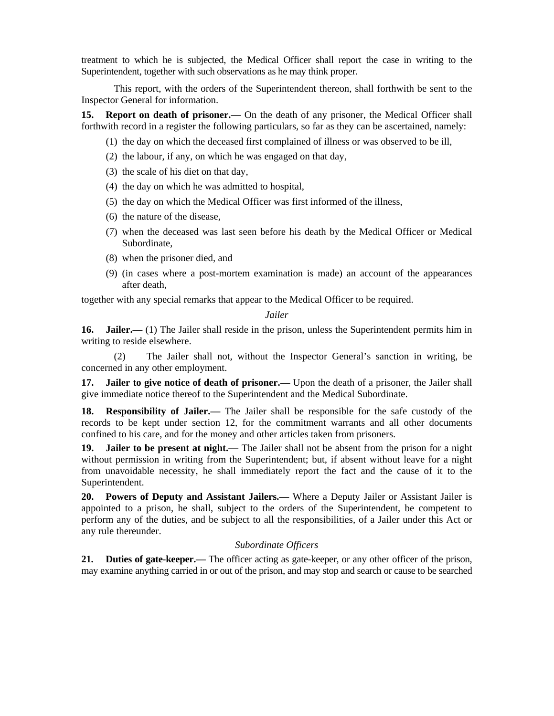treatment to which he is subjected, the Medical Officer shall report the case in writing to the Superintendent, together with such observations as he may think proper.

 This report, with the orders of the Superintendent thereon, shall forthwith be sent to the Inspector General for information.

**15. Report on death of prisoner.—** On the death of any prisoner, the Medical Officer shall forthwith record in a register the following particulars, so far as they can be ascertained, namely:

- (1) the day on which the deceased first complained of illness or was observed to be ill,
- (2) the labour, if any, on which he was engaged on that day,
- (3) the scale of his diet on that day,
- (4) the day on which he was admitted to hospital,
- (5) the day on which the Medical Officer was first informed of the illness,
- (6) the nature of the disease,
- (7) when the deceased was last seen before his death by the Medical Officer or Medical Subordinate,
- (8) when the prisoner died, and
- (9) (in cases where a post-mortem examination is made) an account of the appearances after death,

together with any special remarks that appear to the Medical Officer to be required.

#### *Jailer*

**16. Jailer.**— (1) The Jailer shall reside in the prison, unless the Superintendent permits him in writing to reside elsewhere.

 (2) The Jailer shall not, without the Inspector General's sanction in writing, be concerned in any other employment.

**17. Jailer to give notice of death of prisoner.—** Upon the death of a prisoner, the Jailer shall give immediate notice thereof to the Superintendent and the Medical Subordinate.

**18. Responsibility of Jailer.—** The Jailer shall be responsible for the safe custody of the records to be kept under section 12, for the commitment warrants and all other documents confined to his care, and for the money and other articles taken from prisoners.

**19. Jailer to be present at night.—** The Jailer shall not be absent from the prison for a night without permission in writing from the Superintendent; but, if absent without leave for a night from unavoidable necessity, he shall immediately report the fact and the cause of it to the Superintendent.

**20. Powers of Deputy and Assistant Jailers.—** Where a Deputy Jailer or Assistant Jailer is appointed to a prison, he shall, subject to the orders of the Superintendent, be competent to perform any of the duties, and be subject to all the responsibilities, of a Jailer under this Act or any rule thereunder.

#### *Subordinate Officers*

**21. Duties of gate-keeper.—** The officer acting as gate-keeper, or any other officer of the prison, may examine anything carried in or out of the prison, and may stop and search or cause to be searched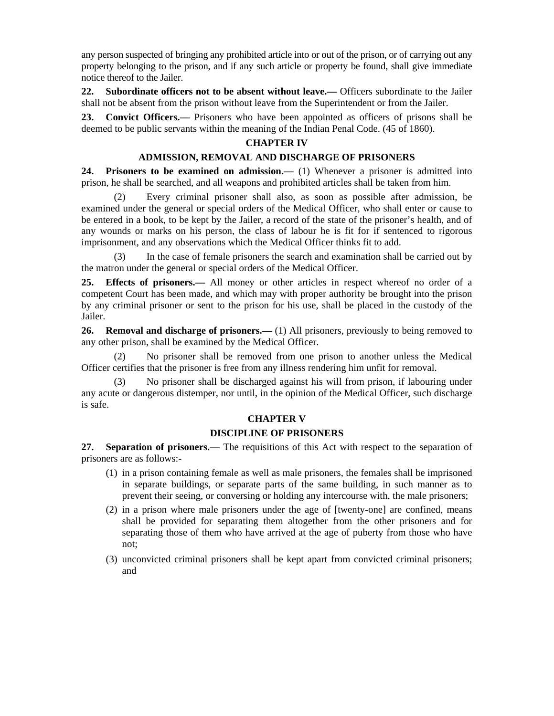any person suspected of bringing any prohibited article into or out of the prison, or of carrying out any property belonging to the prison, and if any such article or property be found, shall give immediate notice thereof to the Jailer.

**22. Subordinate officers not to be absent without leave.—** Officers subordinate to the Jailer shall not be absent from the prison without leave from the Superintendent or from the Jailer.

**23. Convict Officers.—** Prisoners who have been appointed as officers of prisons shall be deemed to be public servants within the meaning of the Indian Penal Code. (45 of 1860).

#### **CHAPTER IV**

#### **ADMISSION, REMOVAL AND DISCHARGE OF PRISONERS**

**24. Prisoners to be examined on admission.—** (1) Whenever a prisoner is admitted into prison, he shall be searched, and all weapons and prohibited articles shall be taken from him.

 (2) Every criminal prisoner shall also, as soon as possible after admission, be examined under the general or special orders of the Medical Officer, who shall enter or cause to be entered in a book, to be kept by the Jailer, a record of the state of the prisoner's health, and of any wounds or marks on his person, the class of labour he is fit for if sentenced to rigorous imprisonment, and any observations which the Medical Officer thinks fit to add.

 (3) In the case of female prisoners the search and examination shall be carried out by the matron under the general or special orders of the Medical Officer.

**25. Effects of prisoners.—** All money or other articles in respect whereof no order of a competent Court has been made, and which may with proper authority be brought into the prison by any criminal prisoner or sent to the prison for his use, shall be placed in the custody of the Jailer.

**26. Removal and discharge of prisoners.**—(1) All prisoners, previously to being removed to any other prison, shall be examined by the Medical Officer.

 (2) No prisoner shall be removed from one prison to another unless the Medical Officer certifies that the prisoner is free from any illness rendering him unfit for removal.

 (3) No prisoner shall be discharged against his will from prison, if labouring under any acute or dangerous distemper, nor until, in the opinion of the Medical Officer, such discharge is safe.

#### **CHAPTER V**

#### **DISCIPLINE OF PRISONERS**

**27. Separation of prisoners.—** The requisitions of this Act with respect to the separation of prisoners are as follows:-

- (1) in a prison containing female as well as male prisoners, the females shall be imprisoned in separate buildings, or separate parts of the same building, in such manner as to prevent their seeing, or conversing or holding any intercourse with, the male prisoners;
- (2) in a prison where male prisoners under the age of [twenty-one] are confined, means shall be provided for separating them altogether from the other prisoners and for separating those of them who have arrived at the age of puberty from those who have not;
- (3) unconvicted criminal prisoners shall be kept apart from convicted criminal prisoners; and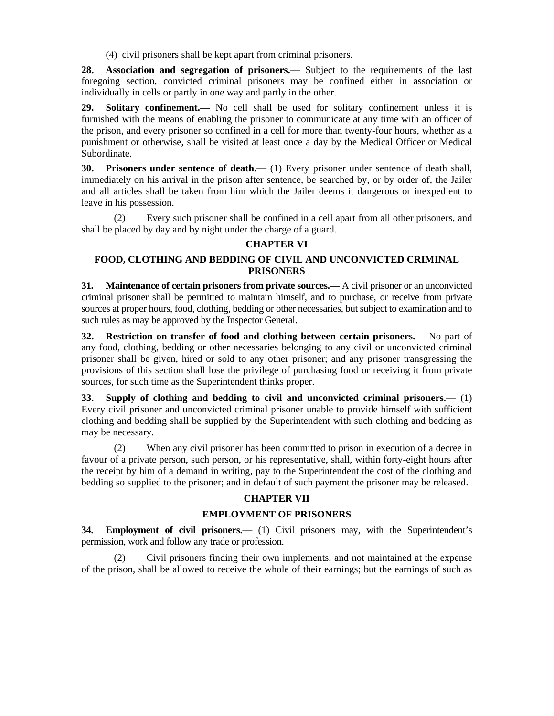(4) civil prisoners shall be kept apart from criminal prisoners.

**28. Association and segregation of prisoners.—** Subject to the requirements of the last foregoing section, convicted criminal prisoners may be confined either in association or individually in cells or partly in one way and partly in the other.

29. Solitary confinement. No cell shall be used for solitary confinement unless it is furnished with the means of enabling the prisoner to communicate at any time with an officer of the prison, and every prisoner so confined in a cell for more than twenty-four hours, whether as a punishment or otherwise, shall be visited at least once a day by the Medical Officer or Medical Subordinate.

**30. Prisoners under sentence of death.—** (1) Every prisoner under sentence of death shall, immediately on his arrival in the prison after sentence, be searched by, or by order of, the Jailer and all articles shall be taken from him which the Jailer deems it dangerous or inexpedient to leave in his possession.

 (2) Every such prisoner shall be confined in a cell apart from all other prisoners, and shall be placed by day and by night under the charge of a guard.

# **CHAPTER VI**

# **FOOD, CLOTHING AND BEDDING OF CIVIL AND UNCONVICTED CRIMINAL PRISONERS**

**31. Maintenance of certain prisoners from private sources.—** A civil prisoner or an unconvicted criminal prisoner shall be permitted to maintain himself, and to purchase, or receive from private sources at proper hours, food, clothing, bedding or other necessaries, but subject to examination and to such rules as may be approved by the Inspector General.

**32. Restriction on transfer of food and clothing between certain prisoners.—** No part of any food, clothing, bedding or other necessaries belonging to any civil or unconvicted criminal prisoner shall be given, hired or sold to any other prisoner; and any prisoner transgressing the provisions of this section shall lose the privilege of purchasing food or receiving it from private sources, for such time as the Superintendent thinks proper.

**33. Supply of clothing and bedding to civil and unconvicted criminal prisoners.—** (1) Every civil prisoner and unconvicted criminal prisoner unable to provide himself with sufficient clothing and bedding shall be supplied by the Superintendent with such clothing and bedding as may be necessary.

 (2) When any civil prisoner has been committed to prison in execution of a decree in favour of a private person, such person, or his representative, shall, within forty-eight hours after the receipt by him of a demand in writing, pay to the Superintendent the cost of the clothing and bedding so supplied to the prisoner; and in default of such payment the prisoner may be released.

#### **CHAPTER VII**

#### **EMPLOYMENT OF PRISONERS**

**34. Employment of civil prisoners.—** (1) Civil prisoners may, with the Superintendent's permission, work and follow any trade or profession.

 (2) Civil prisoners finding their own implements, and not maintained at the expense of the prison, shall be allowed to receive the whole of their earnings; but the earnings of such as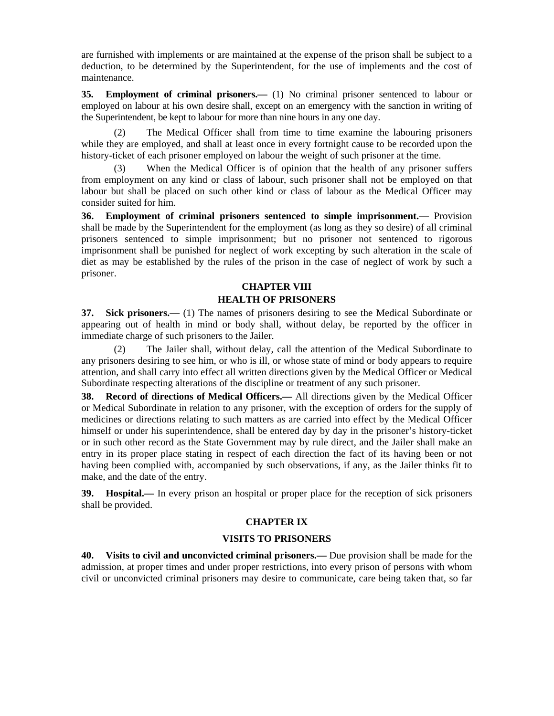are furnished with implements or are maintained at the expense of the prison shall be subject to a deduction, to be determined by the Superintendent, for the use of implements and the cost of maintenance.

**35. Employment of criminal prisoners.—** (1) No criminal prisoner sentenced to labour or employed on labour at his own desire shall, except on an emergency with the sanction in writing of the Superintendent, be kept to labour for more than nine hours in any one day.

 (2) The Medical Officer shall from time to time examine the labouring prisoners while they are employed, and shall at least once in every fortnight cause to be recorded upon the history-ticket of each prisoner employed on labour the weight of such prisoner at the time.

When the Medical Officer is of opinion that the health of any prisoner suffers from employment on any kind or class of labour, such prisoner shall not be employed on that labour but shall be placed on such other kind or class of labour as the Medical Officer may consider suited for him.

**36. Employment of criminal prisoners sentenced to simple imprisonment.—** Provision shall be made by the Superintendent for the employment (as long as they so desire) of all criminal prisoners sentenced to simple imprisonment; but no prisoner not sentenced to rigorous imprisonment shall be punished for neglect of work excepting by such alteration in the scale of diet as may be established by the rules of the prison in the case of neglect of work by such a prisoner.

# **CHAPTER VIII HEALTH OF PRISONERS**

**37. Sick prisoners.—** (1) The names of prisoners desiring to see the Medical Subordinate or appearing out of health in mind or body shall, without delay, be reported by the officer in immediate charge of such prisoners to the Jailer.

 (2) The Jailer shall, without delay, call the attention of the Medical Subordinate to any prisoners desiring to see him, or who is ill, or whose state of mind or body appears to require attention, and shall carry into effect all written directions given by the Medical Officer or Medical Subordinate respecting alterations of the discipline or treatment of any such prisoner.

**38. Record of directions of Medical Officers.—** All directions given by the Medical Officer or Medical Subordinate in relation to any prisoner, with the exception of orders for the supply of medicines or directions relating to such matters as are carried into effect by the Medical Officer himself or under his superintendence, shall be entered day by day in the prisoner's history-ticket or in such other record as the State Government may by rule direct, and the Jailer shall make an entry in its proper place stating in respect of each direction the fact of its having been or not having been complied with, accompanied by such observations, if any, as the Jailer thinks fit to make, and the date of the entry.

**39. Hospital.—** In every prison an hospital or proper place for the reception of sick prisoners shall be provided.

# **CHAPTER IX**

#### **VISITS TO PRISONERS**

**40. Visits to civil and unconvicted criminal prisoners.—** Due provision shall be made for the admission, at proper times and under proper restrictions, into every prison of persons with whom civil or unconvicted criminal prisoners may desire to communicate, care being taken that, so far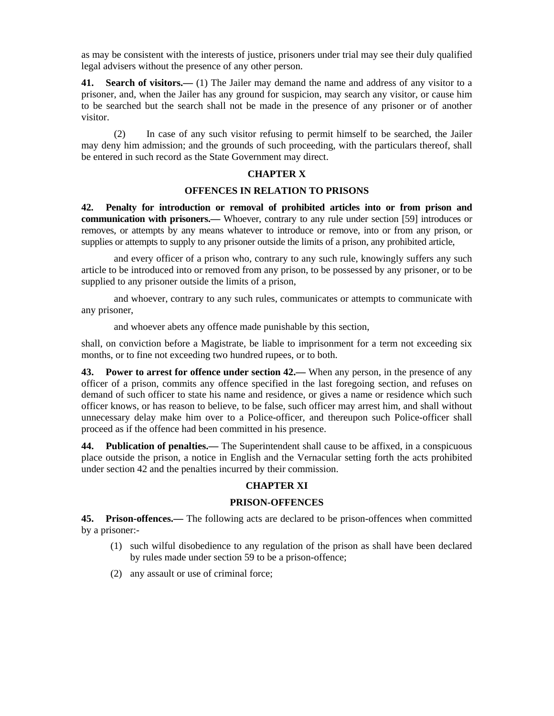as may be consistent with the interests of justice, prisoners under trial may see their duly qualified legal advisers without the presence of any other person.

**41. Search of visitors.—** (1) The Jailer may demand the name and address of any visitor to a prisoner, and, when the Jailer has any ground for suspicion, may search any visitor, or cause him to be searched but the search shall not be made in the presence of any prisoner or of another visitor.

 (2) In case of any such visitor refusing to permit himself to be searched, the Jailer may deny him admission; and the grounds of such proceeding, with the particulars thereof, shall be entered in such record as the State Government may direct.

#### **CHAPTER X**

#### **OFFENCES IN RELATION TO PRISONS**

**42. Penalty for introduction or removal of prohibited articles into or from prison and communication with prisoners.—** Whoever, contrary to any rule under section [59] introduces or removes, or attempts by any means whatever to introduce or remove, into or from any prison, or supplies or attempts to supply to any prisoner outside the limits of a prison, any prohibited article,

 and every officer of a prison who, contrary to any such rule, knowingly suffers any such article to be introduced into or removed from any prison, to be possessed by any prisoner, or to be supplied to any prisoner outside the limits of a prison,

 and whoever, contrary to any such rules, communicates or attempts to communicate with any prisoner,

and whoever abets any offence made punishable by this section,

shall, on conviction before a Magistrate, be liable to imprisonment for a term not exceeding six months, or to fine not exceeding two hundred rupees, or to both.

**43. Power to arrest for offence under section 42.—** When any person, in the presence of any officer of a prison, commits any offence specified in the last foregoing section, and refuses on demand of such officer to state his name and residence, or gives a name or residence which such officer knows, or has reason to believe, to be false, such officer may arrest him, and shall without unnecessary delay make him over to a Police-officer, and thereupon such Police-officer shall proceed as if the offence had been committed in his presence.

**44. Publication of penalties.—** The Superintendent shall cause to be affixed, in a conspicuous place outside the prison, a notice in English and the Vernacular setting forth the acts prohibited under section 42 and the penalties incurred by their commission.

#### **CHAPTER XI**

#### **PRISON-OFFENCES**

**45. Prison-offences.—** The following acts are declared to be prison-offences when committed by a prisoner:-

- (1) such wilful disobedience to any regulation of the prison as shall have been declared by rules made under section 59 to be a prison-offence;
- (2) any assault or use of criminal force;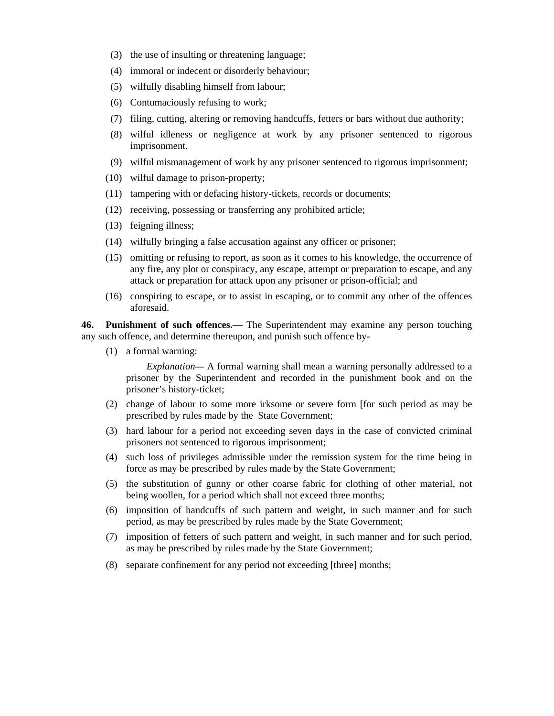- (3) the use of insulting or threatening language;
- (4) immoral or indecent or disorderly behaviour;
- (5) wilfully disabling himself from labour;
- (6) Contumaciously refusing to work;
- (7) filing, cutting, altering or removing handcuffs, fetters or bars without due authority;
- (8) wilful idleness or negligence at work by any prisoner sentenced to rigorous imprisonment.
- (9) wilful mismanagement of work by any prisoner sentenced to rigorous imprisonment;
- (10) wilful damage to prison-property;
- (11) tampering with or defacing history-tickets, records or documents;
- (12) receiving, possessing or transferring any prohibited article;
- (13) feigning illness;
- (14) wilfully bringing a false accusation against any officer or prisoner;
- (15) omitting or refusing to report, as soon as it comes to his knowledge, the occurrence of any fire, any plot or conspiracy, any escape, attempt or preparation to escape, and any attack or preparation for attack upon any prisoner or prison-official; and
- (16) conspiring to escape, or to assist in escaping, or to commit any other of the offences aforesaid.

**46. Punishment of such offences.—** The Superintendent may examine any person touching any such offence, and determine thereupon, and punish such offence by-

(1) a formal warning:

 *Explanation—* A formal warning shall mean a warning personally addressed to a prisoner by the Superintendent and recorded in the punishment book and on the prisoner's history-ticket;

- (2) change of labour to some more irksome or severe form [for such period as may be prescribed by rules made by the State Government;
- (3) hard labour for a period not exceeding seven days in the case of convicted criminal prisoners not sentenced to rigorous imprisonment;
- (4) such loss of privileges admissible under the remission system for the time being in force as may be prescribed by rules made by the State Government;
- (5) the substitution of gunny or other coarse fabric for clothing of other material, not being woollen, for a period which shall not exceed three months;
- (6) imposition of handcuffs of such pattern and weight, in such manner and for such period, as may be prescribed by rules made by the State Government;
- (7) imposition of fetters of such pattern and weight, in such manner and for such period, as may be prescribed by rules made by the State Government;
- (8) separate confinement for any period not exceeding [three] months;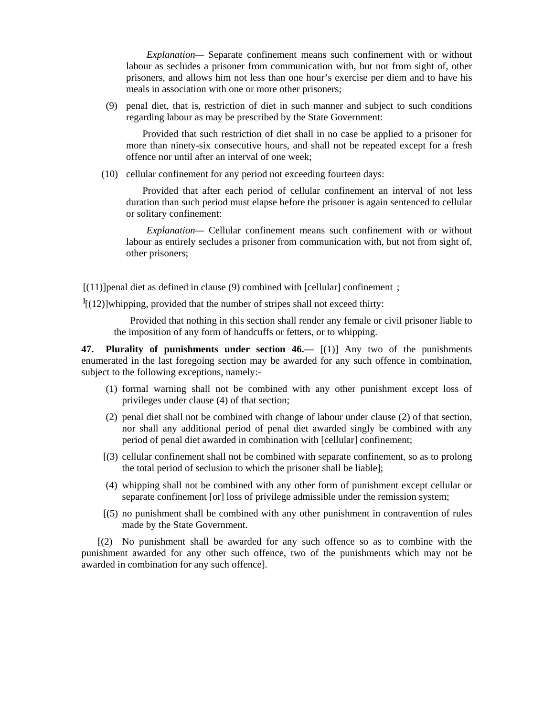*Explanation—* Separate confinement means such confinement with or without labour as secludes a prisoner from communication with, but not from sight of, other prisoners, and allows him not less than one hour's exercise per diem and to have his meals in association with one or more other prisoners;

 (9) penal diet, that is, restriction of diet in such manner and subject to such conditions regarding labour as may be prescribed by the State Government:

 Provided that such restriction of diet shall in no case be applied to a prisoner for more than ninety-six consecutive hours, and shall not be repeated except for a fresh offence nor until after an interval of one week;

(10) cellular confinement for any period not exceeding fourteen days:

 Provided that after each period of cellular confinement an interval of not less duration than such period must elapse before the prisoner is again sentenced to cellular or solitary confinement:

 *Explanation—* Cellular confinement means such confinement with or without labour as entirely secludes a prisoner from communication with, but not from sight of, other prisoners;

 $[(11)]$  penal diet as defined in clause (9) combined with [cellular] confinement ;

 $\frac{1}{2}$ [(12)]whipping, provided that the number of stripes shall not exceed thirty:

 Provided that nothing in this section shall render any female or civil prisoner liable to the imposition of any form of handcuffs or fetters, or to whipping.

**47. Plurality of punishments under section 46.—** [(1)] Any two of the punishments enumerated in the last foregoing section may be awarded for any such offence in combination, subject to the following exceptions, namely:-

- (1) formal warning shall not be combined with any other punishment except loss of privileges under clause (4) of that section;
- (2) penal diet shall not be combined with change of labour under clause (2) of that section, nor shall any additional period of penal diet awarded singly be combined with any period of penal diet awarded in combination with [cellular] confinement;
- [(3) cellular confinement shall not be combined with separate confinement, so as to prolong the total period of seclusion to which the prisoner shall be liable];
- (4) whipping shall not be combined with any other form of punishment except cellular or separate confinement [or] loss of privilege admissible under the remission system;
- [(5) no punishment shall be combined with any other punishment in contravention of rules made by the State Government.

 [(2) No punishment shall be awarded for any such offence so as to combine with the punishment awarded for any other such offence, two of the punishments which may not be awarded in combination for any such offence].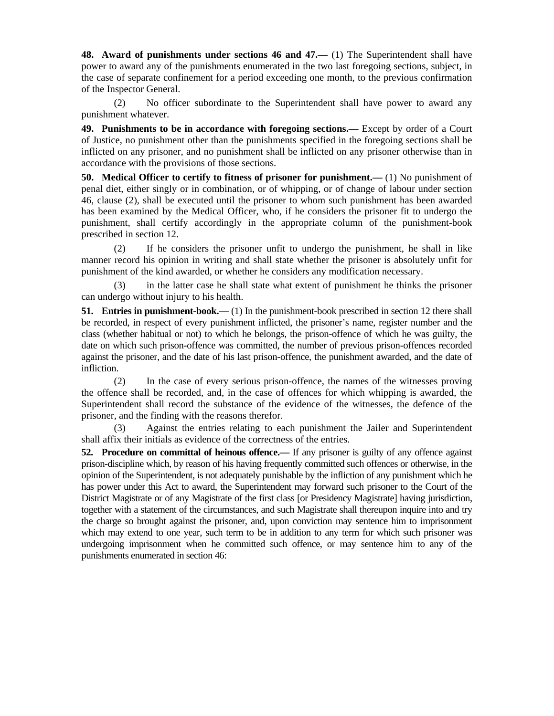**48.** Award of punishments under sections 46 and 47.— (1) The Superintendent shall have power to award any of the punishments enumerated in the two last foregoing sections, subject, in the case of separate confinement for a period exceeding one month, to the previous confirmation of the Inspector General.

 (2) No officer subordinate to the Superintendent shall have power to award any punishment whatever.

**49. Punishments to be in accordance with foregoing sections.—** Except by order of a Court of Justice, no punishment other than the punishments specified in the foregoing sections shall be inflicted on any prisoner, and no punishment shall be inflicted on any prisoner otherwise than in accordance with the provisions of those sections.

**50. Medical Officer to certify to fitness of prisoner for punishment.—** (1) No punishment of penal diet, either singly or in combination, or of whipping, or of change of labour under section 46, clause (2), shall be executed until the prisoner to whom such punishment has been awarded has been examined by the Medical Officer, who, if he considers the prisoner fit to undergo the punishment, shall certify accordingly in the appropriate column of the punishment-book prescribed in section 12.

 (2) If he considers the prisoner unfit to undergo the punishment, he shall in like manner record his opinion in writing and shall state whether the prisoner is absolutely unfit for punishment of the kind awarded, or whether he considers any modification necessary.

 (3) in the latter case he shall state what extent of punishment he thinks the prisoner can undergo without injury to his health.

**51. Entries in punishment-book.—** (1) In the punishment-book prescribed in section 12 there shall be recorded, in respect of every punishment inflicted, the prisoner's name, register number and the class (whether habitual or not) to which he belongs, the prison-offence of which he was guilty, the date on which such prison-offence was committed, the number of previous prison-offences recorded against the prisoner, and the date of his last prison-offence, the punishment awarded, and the date of infliction.

 (2) In the case of every serious prison-offence, the names of the witnesses proving the offence shall be recorded, and, in the case of offences for which whipping is awarded, the Superintendent shall record the substance of the evidence of the witnesses, the defence of the prisoner, and the finding with the reasons therefor.

 (3) Against the entries relating to each punishment the Jailer and Superintendent shall affix their initials as evidence of the correctness of the entries.

**52. Procedure on committal of heinous offence.—** If any prisoner is guilty of any offence against prison-discipline which, by reason of his having frequently committed such offences or otherwise, in the opinion of the Superintendent, is not adequately punishable by the infliction of any punishment which he has power under this Act to award, the Superintendent may forward such prisoner to the Court of the District Magistrate or of any Magistrate of the first class [or Presidency Magistrate] having jurisdiction, together with a statement of the circumstances, and such Magistrate shall thereupon inquire into and try the charge so brought against the prisoner, and, upon conviction may sentence him to imprisonment which may extend to one year, such term to be in addition to any term for which such prisoner was undergoing imprisonment when he committed such offence, or may sentence him to any of the punishments enumerated in section 46: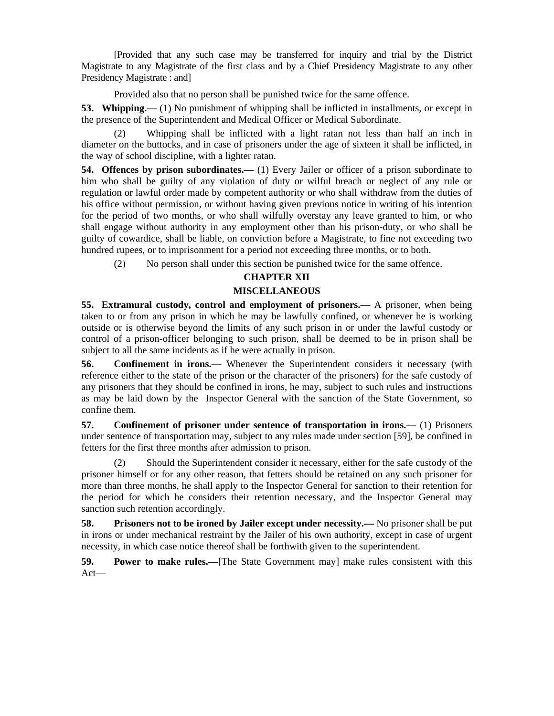[Provided that any such case may be transferred for inquiry and trial by the District Magistrate to any Magistrate of the first class and by a Chief Presidency Magistrate to any other Presidency Magistrate : and]

Provided also that no person shall be punished twice for the same offence.

**53. Whipping.**—— (1) No punishment of whipping shall be inflicted in installments, or except in the presence of the Superintendent and Medical Officer or Medical Subordinate.

 (2) Whipping shall be inflicted with a light ratan not less than half an inch in diameter on the buttocks, and in case of prisoners under the age of sixteen it shall be inflicted, in the way of school discipline, with a lighter ratan.

**54. Offences by prison subordinates.—** (1) Every Jailer or officer of a prison subordinate to him who shall be guilty of any violation of duty or wilful breach or neglect of any rule or regulation or lawful order made by competent authority or who shall withdraw from the duties of his office without permission, or without having given previous notice in writing of his intention for the period of two months, or who shall wilfully overstay any leave granted to him, or who shall engage without authority in any employment other than his prison-duty, or who shall be guilty of cowardice, shall be liable, on conviction before a Magistrate, to fine not exceeding two hundred rupees, or to imprisonment for a period not exceeding three months, or to both.

(2) No person shall under this section be punished twice for the same offence.

# **CHAPTER XII**

# **MISCELLANEOUS**

**55. Extramural custody, control and employment of prisoners.—** A prisoner, when being taken to or from any prison in which he may be lawfully confined, or whenever he is working outside or is otherwise beyond the limits of any such prison in or under the lawful custody or control of a prison-officer belonging to such prison, shall be deemed to be in prison shall be subject to all the same incidents as if he were actually in prison.

**56. Confinement in irons.—** Whenever the Superintendent considers it necessary (with reference either to the state of the prison or the character of the prisoners) for the safe custody of any prisoners that they should be confined in irons, he may, subject to such rules and instructions as may be laid down by the Inspector General with the sanction of the State Government, so confine them.

**57. Confinement of prisoner under sentence of transportation in irons.—** (1) Prisoners under sentence of transportation may, subject to any rules made under section [59], be confined in fetters for the first three months after admission to prison.

 (2) Should the Superintendent consider it necessary, either for the safe custody of the prisoner himself or for any other reason, that fetters should be retained on any such prisoner for more than three months, he shall apply to the Inspector General for sanction to their retention for the period for which he considers their retention necessary, and the Inspector General may sanction such retention accordingly.

**58.** Prisoners not to be ironed by Jailer except under necessity.— No prisoner shall be put in irons or under mechanical restraint by the Jailer of his own authority, except in case of urgent necessity, in which case notice thereof shall be forthwith given to the superintendent.

**59. Power to make rules.—**[The State Government may] make rules consistent with this Act—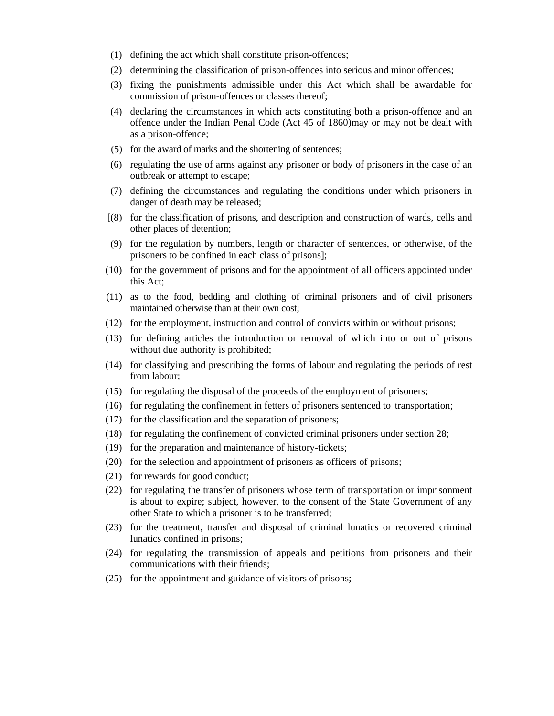- (1) defining the act which shall constitute prison-offences;
- (2) determining the classification of prison-offences into serious and minor offences;
- (3) fixing the punishments admissible under this Act which shall be awardable for commission of prison-offences or classes thereof;
- (4) declaring the circumstances in which acts constituting both a prison-offence and an offence under the Indian Penal Code (Act 45 of 1860)may or may not be dealt with as a prison-offence;
- (5) for the award of marks and the shortening of sentences;
- (6) regulating the use of arms against any prisoner or body of prisoners in the case of an outbreak or attempt to escape;
- (7) defining the circumstances and regulating the conditions under which prisoners in danger of death may be released;
- [(8) for the classification of prisons, and description and construction of wards, cells and other places of detention;
- (9) for the regulation by numbers, length or character of sentences, or otherwise, of the prisoners to be confined in each class of prisons];
- (10) for the government of prisons and for the appointment of all officers appointed under this Act;
- (11) as to the food, bedding and clothing of criminal prisoners and of civil prisoners maintained otherwise than at their own cost;
- (12) for the employment, instruction and control of convicts within or without prisons;
- (13) for defining articles the introduction or removal of which into or out of prisons without due authority is prohibited;
- (14) for classifying and prescribing the forms of labour and regulating the periods of rest from labour;
- (15) for regulating the disposal of the proceeds of the employment of prisoners;
- (16) for regulating the confinement in fetters of prisoners sentenced to transportation;
- (17) for the classification and the separation of prisoners;
- (18) for regulating the confinement of convicted criminal prisoners under section 28;
- (19) for the preparation and maintenance of history-tickets;
- (20) for the selection and appointment of prisoners as officers of prisons;
- (21) for rewards for good conduct;
- (22) for regulating the transfer of prisoners whose term of transportation or imprisonment is about to expire; subject, however, to the consent of the State Government of any other State to which a prisoner is to be transferred;
- (23) for the treatment, transfer and disposal of criminal lunatics or recovered criminal lunatics confined in prisons;
- (24) for regulating the transmission of appeals and petitions from prisoners and their communications with their friends;
- (25) for the appointment and guidance of visitors of prisons;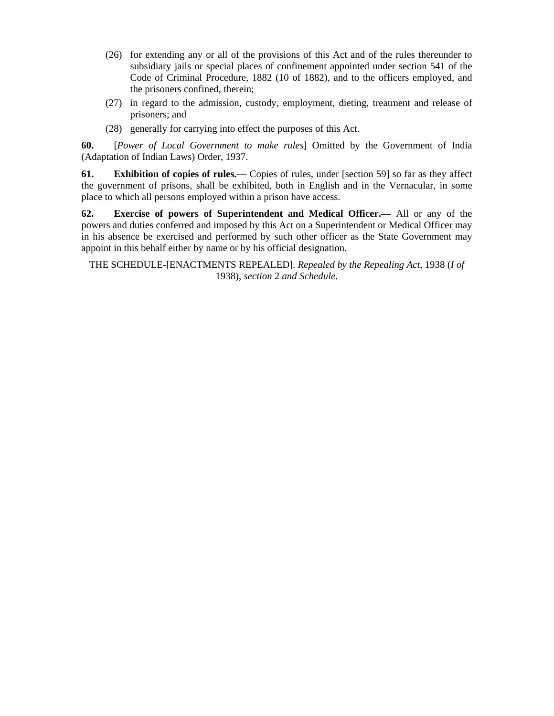- (26) for extending any or all of the provisions of this Act and of the rules thereunder to subsidiary jails or special places of confinement appointed under section 541 of the Code of Criminal Procedure, 1882 (10 of 1882), and to the officers employed, and the prisoners confined, therein;
- (27) in regard to the admission, custody, employment, dieting, treatment and release of prisoners; and
- (28) generally for carrying into effect the purposes of this Act.

**60.** [*Power of Local Government to make rules*] Omitted by the Government of India (Adaptation of Indian Laws) Order, 1937.

**61. Exhibition of copies of rules.—** Copies of rules, under [section 59] so far as they affect the government of prisons, shall be exhibited, both in English and in the Vernacular, in some place to which all persons employed within a prison have access.

**62. Exercise of powers of Superintendent and Medical Officer.—** All or any of the powers and duties conferred and imposed by this Act on a Superintendent or Medical Officer may in his absence be exercised and performed by such other officer as the State Government may appoint in this behalf either by name or by his official designation.

THE SCHEDULE-[ENACTMENTS REPEALED]. *Repealed by the Repealing Act,* 1938 (*I of*  1938), *section* 2 *and Schedule.*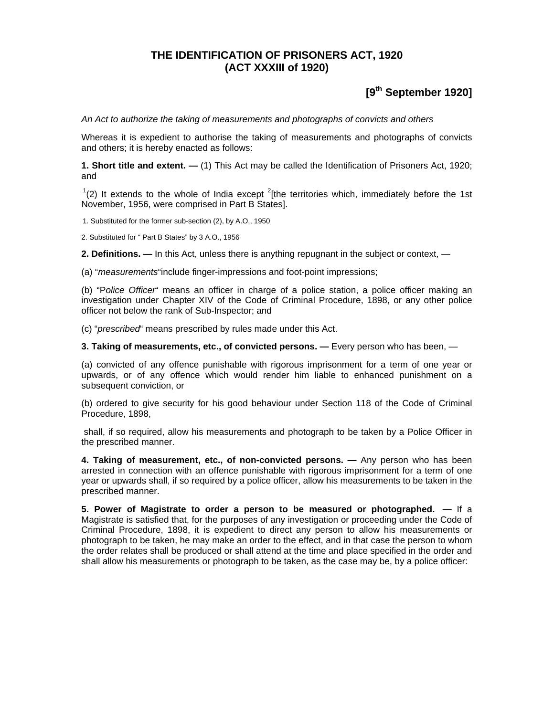# **THE IDENTIFICATION OF PRISONERS ACT, 1920 (ACT XXXIII of 1920)**

# **[9th September 1920]**

*An Act to authorize the taking of measurements and photographs of convicts and others*

Whereas it is expedient to authorise the taking of measurements and photographs of convicts and others; it is hereby enacted as follows:

**1. Short title and extent. —** (1) This Act may be called the Identification of Prisoners Act, 1920; and

 $(2)$  It extends to the whole of India except  $^{2}$ [the territories which, immediately before the 1st November, 1956, were comprised in Part B States].

1. Substituted for the former sub-section (2), by A.O., 1950

2. Substituted for " Part B States" by 3 A.O., 1956

**2. Definitions. —** In this Act, unless there is anything repugnant in the subject or context, —

(a) "*measurements*"include finger-impressions and foot-point impressions;

(b) "P*olice Officer*" means an officer in charge of a police station, a police officer making an investigation under Chapter XIV of the Code of Criminal Procedure, 1898, or any other police officer not below the rank of Sub-Inspector; and

(c) "*prescribed*" means prescribed by rules made under this Act.

**3. Taking of measurements, etc., of convicted persons. —** Every person who has been, —

(a) convicted of any offence punishable with rigorous imprisonment for a term of one year or upwards, or of any offence which would render him liable to enhanced punishment on a subsequent conviction, or

(b) ordered to give security for his good behaviour under Section 118 of the Code of Criminal Procedure, 1898,

 shall, if so required, allow his measurements and photograph to be taken by a Police Officer in the prescribed manner.

**4. Taking of measurement, etc., of non-convicted persons. —** Any person who has been arrested in connection with an offence punishable with rigorous imprisonment for a term of one year or upwards shall, if so required by a police officer, allow his measurements to be taken in the prescribed manner.

**5. Power of Magistrate to order a person to be measured or photographed. —** If a Magistrate is satisfied that, for the purposes of any investigation or proceeding under the Code of Criminal Procedure, 1898, it is expedient to direct any person to allow his measurements or photograph to be taken, he may make an order to the effect, and in that case the person to whom the order relates shall be produced or shall attend at the time and place specified in the order and shall allow his measurements or photograph to be taken, as the case may be, by a police officer: